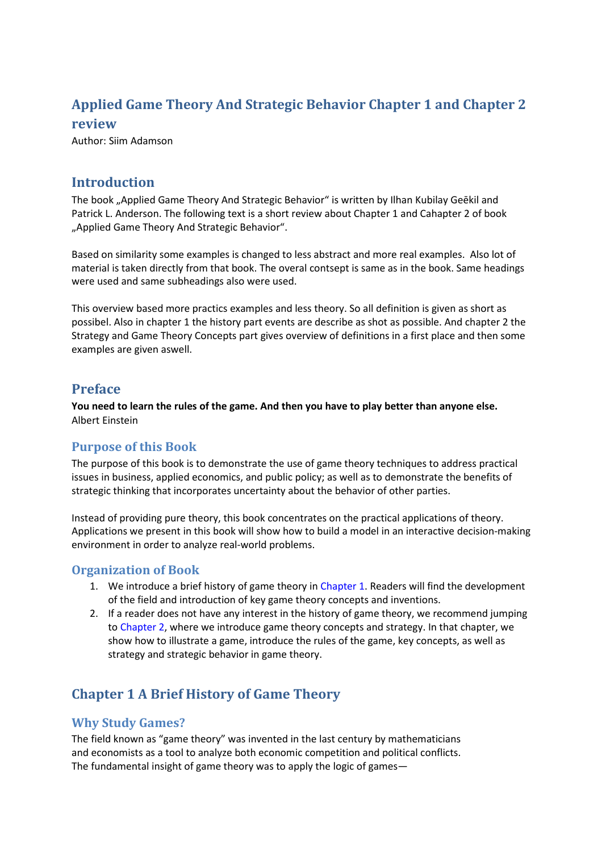# Applied Game Theory And Strategic Behavior Chapter 1 and Chapter 2 review

Author: Siim Adamson

# Introduction

The book "Applied Game Theory And Strategic Behavior" is written by Ilhan Kubilay Geēkil and Patrick L. Anderson. The following text is a short review about Chapter 1 and Cahapter 2 of book "Applied Game Theory And Strategic Behavior".

Based on similarity some examples is changed to less abstract and more real examples. Also lot of material is taken directly from that book. The overal contsept is same as in the book. Same headings were used and same subheadings also were used.

This overview based more practics examples and less theory. So all definition is given as short as possibel. Also in chapter 1 the history part events are describe as shot as possible. And chapter 2 the Strategy and Game Theory Concepts part gives overview of definitions in a first place and then some examples are given aswell.

# Preface

You need to learn the rules of the game. And then you have to play better than anyone else. Albert Einstein

# Purpose of this Book

The purpose of this book is to demonstrate the use of game theory techniques to address practical issues in business, applied economics, and public policy; as well as to demonstrate the benefits of strategic thinking that incorporates uncertainty about the behavior of other parties.

Instead of providing pure theory, this book concentrates on the practical applications of theory. Applications we present in this book will show how to build a model in an interactive decision-making environment in order to analyze real-world problems.

# Organization of Book

- 1. We introduce a brief history of game theory in Chapter 1. Readers will find the development of the field and introduction of key game theory concepts and inventions.
- 2. If a reader does not have any interest in the history of game theory, we recommend jumping to Chapter 2, where we introduce game theory concepts and strategy. In that chapter, we show how to illustrate a game, introduce the rules of the game, key concepts, as well as strategy and strategic behavior in game theory.

# Chapter 1 A Brief History of Game Theory

# Why Study Games?

The field known as "game theory" was invented in the last century by mathematicians and economists as a tool to analyze both economic competition and political conflicts. The fundamental insight of game theory was to apply the logic of games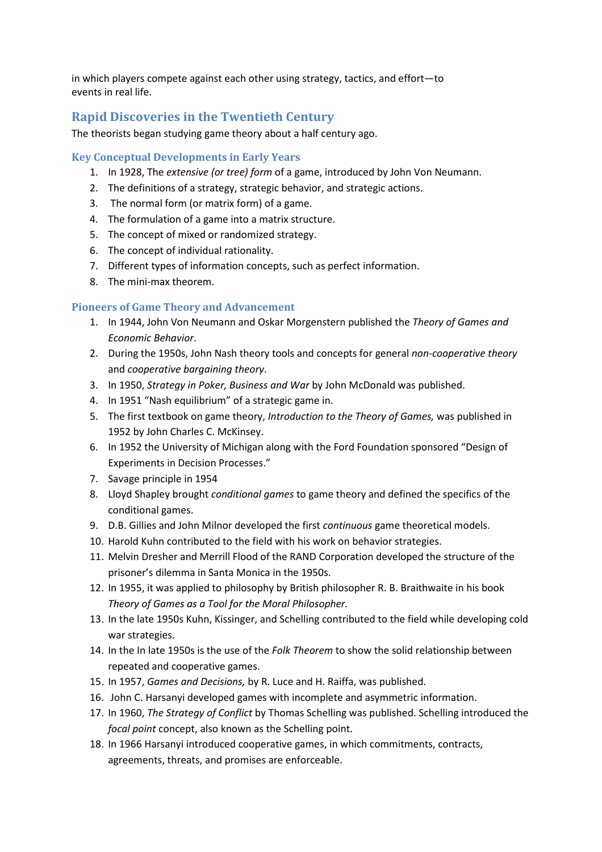in which players compete against each other using strategy, tactics, and effort—to events in real life.

# Rapid Discoveries in the Twentieth Century

The theorists began studying game theory about a half century ago.

# Key Conceptual Developments in Early Years

- 1. In 1928, The extensive (or tree) form of a game, introduced by John Von Neumann.
- 2. The definitions of a strategy, strategic behavior, and strategic actions.
- 3. The normal form (or matrix form) of a game.
- 4. The formulation of a game into a matrix structure.
- 5. The concept of mixed or randomized strategy.
- 6. The concept of individual rationality.
- 7. Different types of information concepts, such as perfect information.
- 8. The mini-max theorem.

# Pioneers of Game Theory and Advancement

- 1. In 1944, John Von Neumann and Oskar Morgenstern published the Theory of Games and Economic Behavior.
- 2. During the 1950s, John Nash theory tools and concepts for general non-cooperative theory and cooperative bargaining theory.
- 3. In 1950, Strategy in Poker, Business and War by John McDonald was published.
- 4. In 1951 "Nash equilibrium" of a strategic game in.
- 5. The first textbook on game theory, Introduction to the Theory of Games, was published in 1952 by John Charles C. McKinsey.
- 6. In 1952 the University of Michigan along with the Ford Foundation sponsored "Design of Experiments in Decision Processes."
- 7. Savage principle in 1954
- 8. Lloyd Shapley brought conditional games to game theory and defined the specifics of the conditional games.
- 9. D.B. Gillies and John Milnor developed the first continuous game theoretical models.
- 10. Harold Kuhn contributed to the field with his work on behavior strategies.
- 11. Melvin Dresher and Merrill Flood of the RAND Corporation developed the structure of the prisoner's dilemma in Santa Monica in the 1950s.
- 12. In 1955, it was applied to philosophy by British philosopher R. B. Braithwaite in his book Theory of Games as a Tool for the Moral Philosopher.
- 13. In the late 1950s Kuhn, Kissinger, and Schelling contributed to the field while developing cold war strategies.
- 14. In the In late 1950s is the use of the Folk Theorem to show the solid relationship between repeated and cooperative games.
- 15. In 1957, Games and Decisions, by R. Luce and H. Raiffa, was published.
- 16. John C. Harsanyi developed games with incomplete and asymmetric information.
- 17. In 1960, The Strategy of Conflict by Thomas Schelling was published. Schelling introduced the focal point concept, also known as the Schelling point.
- 18. In 1966 Harsanyi introduced cooperative games, in which commitments, contracts, agreements, threats, and promises are enforceable.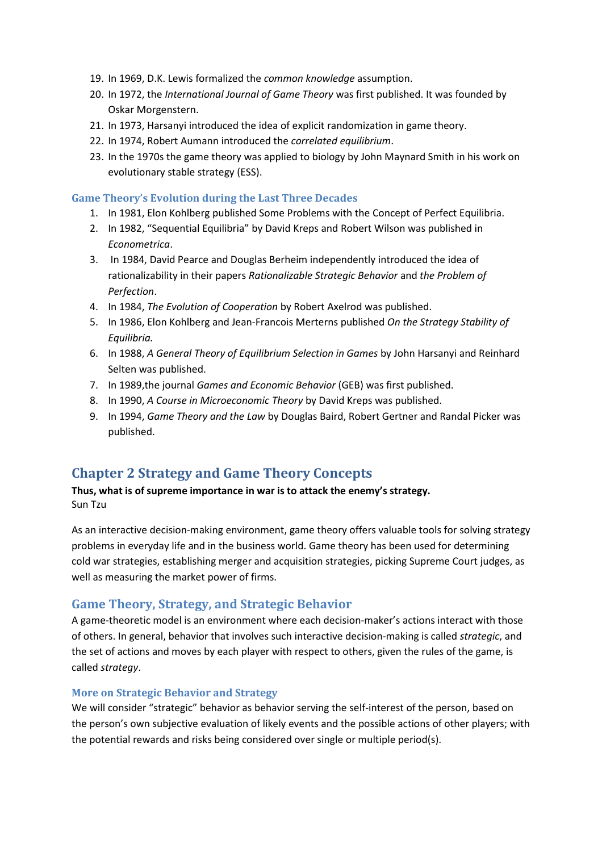- 19. In 1969, D.K. Lewis formalized the common knowledge assumption.
- 20. In 1972, the International Journal of Game Theory was first published. It was founded by Oskar Morgenstern.
- 21. In 1973, Harsanyi introduced the idea of explicit randomization in game theory.
- 22. In 1974, Robert Aumann introduced the correlated equilibrium.
- 23. In the 1970s the game theory was applied to biology by John Maynard Smith in his work on evolutionary stable strategy (ESS).

## Game Theory's Evolution during the Last Three Decades

- 1. In 1981, Elon Kohlberg published Some Problems with the Concept of Perfect Equilibria.
- 2. In 1982, "Sequential Equilibria" by David Kreps and Robert Wilson was published in Econometrica.
- 3. In 1984, David Pearce and Douglas Berheim independently introduced the idea of rationalizability in their papers Rationalizable Strategic Behavior and the Problem of Perfection.
- 4. In 1984, The Evolution of Cooperation by Robert Axelrod was published.
- 5. In 1986, Elon Kohlberg and Jean-Francois Merterns published On the Strategy Stability of Equilibria.
- 6. In 1988, A General Theory of Equilibrium Selection in Games by John Harsanyi and Reinhard Selten was published.
- 7. In 1989,the journal Games and Economic Behavior (GEB) was first published.
- 8. In 1990, A Course in Microeconomic Theory by David Kreps was published.
- 9. In 1994, Game Theory and the Law by Douglas Baird, Robert Gertner and Randal Picker was published.

# Chapter 2 Strategy and Game Theory Concepts

Thus, what is of supreme importance in war is to attack the enemy's strategy. Sun Tzu

As an interactive decision-making environment, game theory offers valuable tools for solving strategy problems in everyday life and in the business world. Game theory has been used for determining cold war strategies, establishing merger and acquisition strategies, picking Supreme Court judges, as well as measuring the market power of firms.

# Game Theory, Strategy, and Strategic Behavior

A game-theoretic model is an environment where each decision-maker's actions interact with those of others. In general, behavior that involves such interactive decision-making is called strategic, and the set of actions and moves by each player with respect to others, given the rules of the game, is called strategy.

# More on Strategic Behavior and Strategy

We will consider "strategic" behavior as behavior serving the self-interest of the person, based on the person's own subjective evaluation of likely events and the possible actions of other players; with the potential rewards and risks being considered over single or multiple period(s).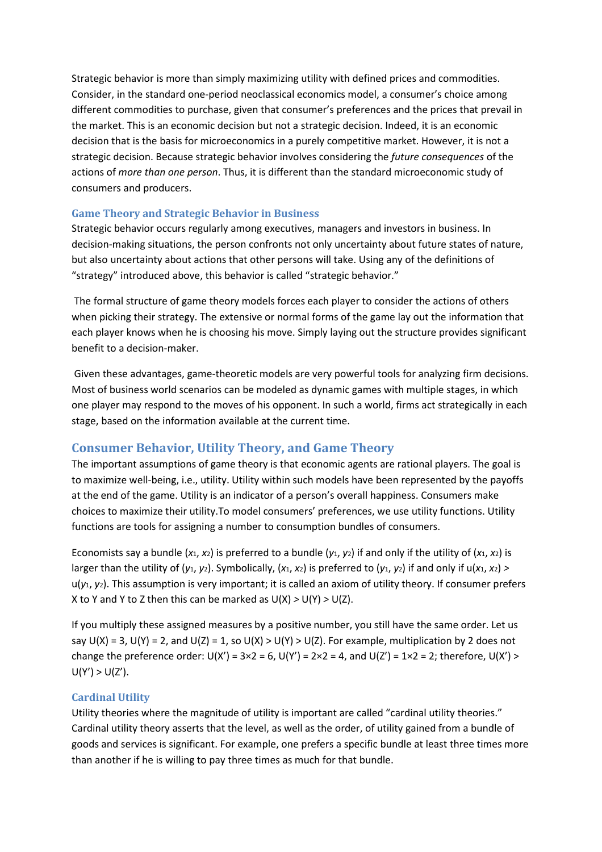Strategic behavior is more than simply maximizing utility with defined prices and commodities. Consider, in the standard one-period neoclassical economics model, a consumer's choice among different commodities to purchase, given that consumer's preferences and the prices that prevail in the market. This is an economic decision but not a strategic decision. Indeed, it is an economic decision that is the basis for microeconomics in a purely competitive market. However, it is not a strategic decision. Because strategic behavior involves considering the *future consequences* of the actions of more than one person. Thus, it is different than the standard microeconomic study of consumers and producers.

# Game Theory and Strategic Behavior in Business

Strategic behavior occurs regularly among executives, managers and investors in business. In decision-making situations, the person confronts not only uncertainty about future states of nature, but also uncertainty about actions that other persons will take. Using any of the definitions of "strategy" introduced above, this behavior is called "strategic behavior."

 The formal structure of game theory models forces each player to consider the actions of others when picking their strategy. The extensive or normal forms of the game lay out the information that each player knows when he is choosing his move. Simply laying out the structure provides significant benefit to a decision-maker.

 Given these advantages, game-theoretic models are very powerful tools for analyzing firm decisions. Most of business world scenarios can be modeled as dynamic games with multiple stages, in which one player may respond to the moves of his opponent. In such a world, firms act strategically in each stage, based on the information available at the current time.

# Consumer Behavior, Utility Theory, and Game Theory

The important assumptions of game theory is that economic agents are rational players. The goal is to maximize well-being, i.e., utility. Utility within such models have been represented by the payoffs at the end of the game. Utility is an indicator of a person's overall happiness. Consumers make choices to maximize their utility.To model consumers' preferences, we use utility functions. Utility functions are tools for assigning a number to consumption bundles of consumers.

Economists say a bundle  $(x_1, x_2)$  is preferred to a bundle  $(y_1, y_2)$  if and only if the utility of  $(x_1, x_2)$  is larger than the utility of (y<sub>1</sub>, y<sub>2</sub>). Symbolically, (x<sub>1</sub>, x<sub>2</sub>) is preferred to (y<sub>1</sub>, y<sub>2</sub>) if and only if  $u(x_1, x_2)$  >  $u(y_1, y_2)$ . This assumption is very important; it is called an axiom of utility theory. If consumer prefers X to Y and Y to Z then this can be marked as  $U(X) > U(Y) > U(Z)$ .

If you multiply these assigned measures by a positive number, you still have the same order. Let us say  $U(X) = 3$ ,  $U(Y) = 2$ , and  $U(Z) = 1$ , so  $U(X) > U(Y) > U(Z)$ . For example, multiplication by 2 does not change the preference order:  $U(X') = 3 \times 2 = 6$ ,  $U(Y') = 2 \times 2 = 4$ , and  $U(Z') = 1 \times 2 = 2$ ; therefore,  $U(X') > 0$  $U(Y') > U(Z')$ .

# Cardinal Utility

Utility theories where the magnitude of utility is important are called "cardinal utility theories." Cardinal utility theory asserts that the level, as well as the order, of utility gained from a bundle of goods and services is significant. For example, one prefers a specific bundle at least three times more than another if he is willing to pay three times as much for that bundle.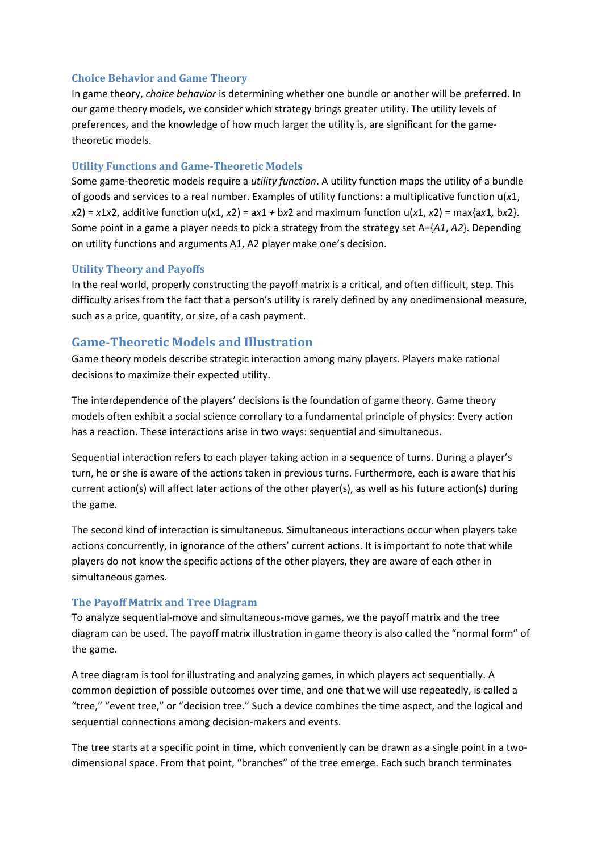## Choice Behavior and Game Theory

In game theory, choice behavior is determining whether one bundle or another will be preferred. In our game theory models, we consider which strategy brings greater utility. The utility levels of preferences, and the knowledge of how much larger the utility is, are significant for the gametheoretic models.

#### Utility Functions and Game-Theoretic Models

Some game-theoretic models require a *utility function*. A utility function maps the utility of a bundle of goods and services to a real number. Examples of utility functions: a multiplicative function u(x1,  $x2$ ) = x1x2, additive function u(x1, x2) = ax1 + bx2 and maximum function u(x1, x2) = max{ax1, bx2}. Some point in a game a player needs to pick a strategy from the strategy set  $A = \{A1, A2\}$ . Depending on utility functions and arguments A1, A2 player make one's decision.

## Utility Theory and Payoffs

In the real world, properly constructing the payoff matrix is a critical, and often difficult, step. This difficulty arises from the fact that a person's utility is rarely defined by any onedimensional measure, such as a price, quantity, or size, of a cash payment.

# Game-Theoretic Models and Illustration

Game theory models describe strategic interaction among many players. Players make rational decisions to maximize their expected utility.

The interdependence of the players' decisions is the foundation of game theory. Game theory models often exhibit a social science corrollary to a fundamental principle of physics: Every action has a reaction. These interactions arise in two ways: sequential and simultaneous.

Sequential interaction refers to each player taking action in a sequence of turns. During a player's turn, he or she is aware of the actions taken in previous turns. Furthermore, each is aware that his current action(s) will affect later actions of the other player(s), as well as his future action(s) during the game.

The second kind of interaction is simultaneous. Simultaneous interactions occur when players take actions concurrently, in ignorance of the others' current actions. It is important to note that while players do not know the specific actions of the other players, they are aware of each other in simultaneous games.

#### The Payoff Matrix and Tree Diagram

To analyze sequential-move and simultaneous-move games, we the payoff matrix and the tree diagram can be used. The payoff matrix illustration in game theory is also called the "normal form" of the game.

A tree diagram is tool for illustrating and analyzing games, in which players act sequentially. A common depiction of possible outcomes over time, and one that we will use repeatedly, is called a "tree," "event tree," or "decision tree." Such a device combines the time aspect, and the logical and sequential connections among decision-makers and events.

The tree starts at a specific point in time, which conveniently can be drawn as a single point in a twodimensional space. From that point, "branches" of the tree emerge. Each such branch terminates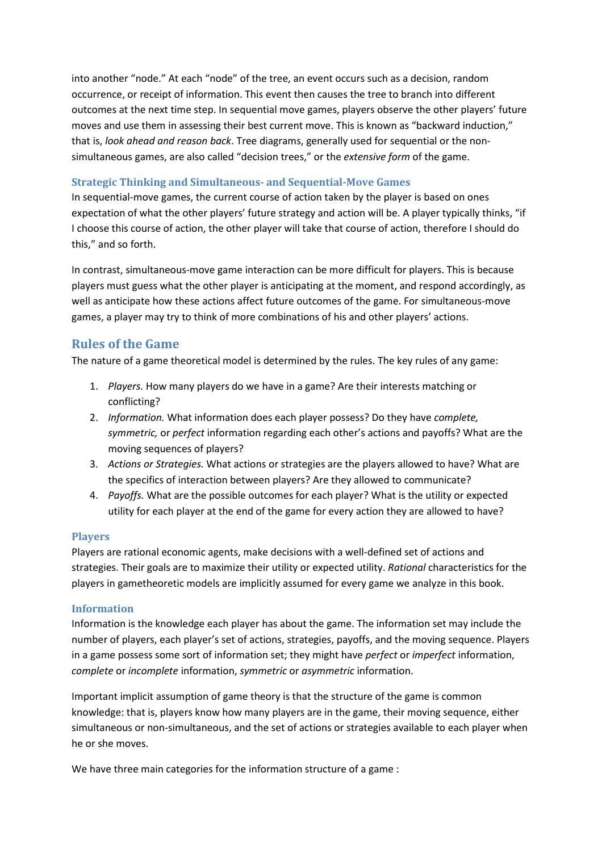into another "node." At each "node" of the tree, an event occurs such as a decision, random occurrence, or receipt of information. This event then causes the tree to branch into different outcomes at the next time step. In sequential move games, players observe the other players' future moves and use them in assessing their best current move. This is known as "backward induction," that is, look ahead and reason back. Tree diagrams, generally used for sequential or the nonsimultaneous games, are also called "decision trees," or the extensive form of the game.

# Strategic Thinking and Simultaneous- and Sequential-Move Games

In sequential-move games, the current course of action taken by the player is based on ones expectation of what the other players' future strategy and action will be. A player typically thinks, "if I choose this course of action, the other player will take that course of action, therefore I should do this," and so forth.

In contrast, simultaneous-move game interaction can be more difficult for players. This is because players must guess what the other player is anticipating at the moment, and respond accordingly, as well as anticipate how these actions affect future outcomes of the game. For simultaneous-move games, a player may try to think of more combinations of his and other players' actions.

# Rules of the Game

The nature of a game theoretical model is determined by the rules. The key rules of any game:

- 1. Players. How many players do we have in a game? Are their interests matching or conflicting?
- 2. Information. What information does each player possess? Do they have complete, symmetric, or perfect information regarding each other's actions and payoffs? What are the moving sequences of players?
- 3. Actions or Strategies. What actions or strategies are the players allowed to have? What are the specifics of interaction between players? Are they allowed to communicate?
- 4. Payoffs. What are the possible outcomes for each player? What is the utility or expected utility for each player at the end of the game for every action they are allowed to have?

# Players

Players are rational economic agents, make decisions with a well-defined set of actions and strategies. Their goals are to maximize their utility or expected utility. Rational characteristics for the players in gametheoretic models are implicitly assumed for every game we analyze in this book.

# Information

Information is the knowledge each player has about the game. The information set may include the number of players, each player's set of actions, strategies, payoffs, and the moving sequence. Players in a game possess some sort of information set; they might have *perfect* or *imperfect* information, complete or incomplete information, symmetric or asymmetric information.

Important implicit assumption of game theory is that the structure of the game is common knowledge: that is, players know how many players are in the game, their moving sequence, either simultaneous or non-simultaneous, and the set of actions or strategies available to each player when he or she moves.

We have three main categories for the information structure of a game :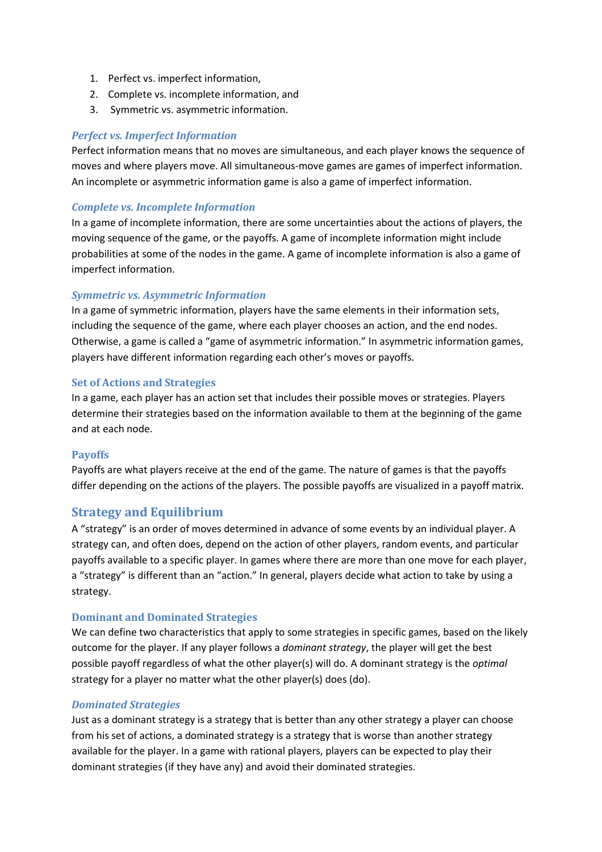- 1. Perfect vs. imperfect information,
- 2. Complete vs. incomplete information, and
- 3. Symmetric vs. asymmetric information.

## Perfect vs. Imperfect Information

Perfect information means that no moves are simultaneous, and each player knows the sequence of moves and where players move. All simultaneous-move games are games of imperfect information. An incomplete or asymmetric information game is also a game of imperfect information.

## Complete vs. Incomplete Information

In a game of incomplete information, there are some uncertainties about the actions of players, the moving sequence of the game, or the payoffs. A game of incomplete information might include probabilities at some of the nodes in the game. A game of incomplete information is also a game of imperfect information.

## Symmetric vs. Asymmetric Information

In a game of symmetric information, players have the same elements in their information sets, including the sequence of the game, where each player chooses an action, and the end nodes. Otherwise, a game is called a "game of asymmetric information." In asymmetric information games, players have different information regarding each other's moves or payoffs.

#### Set of Actions and Strategies

In a game, each player has an action set that includes their possible moves or strategies. Players determine their strategies based on the information available to them at the beginning of the game and at each node.

#### Payoffs

Payoffs are what players receive at the end of the game. The nature of games is that the payoffs differ depending on the actions of the players. The possible payoffs are visualized in a payoff matrix.

# Strategy and Equilibrium

A "strategy" is an order of moves determined in advance of some events by an individual player. A strategy can, and often does, depend on the action of other players, random events, and particular payoffs available to a specific player. In games where there are more than one move for each player, a "strategy" is different than an "action." In general, players decide what action to take by using a strategy.

#### Dominant and Dominated Strategies

We can define two characteristics that apply to some strategies in specific games, based on the likely outcome for the player. If any player follows a dominant strategy, the player will get the best possible payoff regardless of what the other player(s) will do. A dominant strategy is the optimal strategy for a player no matter what the other player(s) does (do).

#### Dominated Strategies

Just as a dominant strategy is a strategy that is better than any other strategy a player can choose from his set of actions, a dominated strategy is a strategy that is worse than another strategy available for the player. In a game with rational players, players can be expected to play their dominant strategies (if they have any) and avoid their dominated strategies.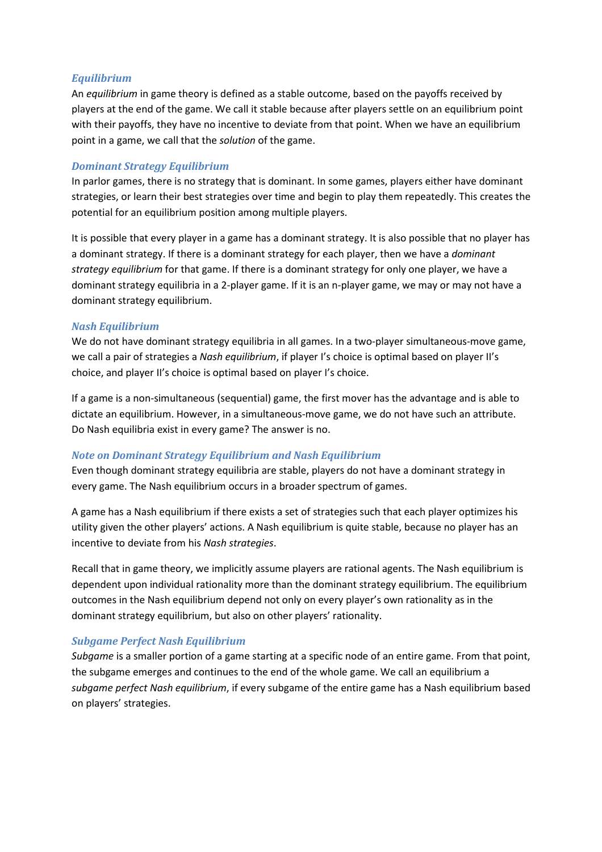## Equilibrium

An equilibrium in game theory is defined as a stable outcome, based on the payoffs received by players at the end of the game. We call it stable because after players settle on an equilibrium point with their payoffs, they have no incentive to deviate from that point. When we have an equilibrium point in a game, we call that the solution of the game.

#### Dominant Strategy Equilibrium

In parlor games, there is no strategy that is dominant. In some games, players either have dominant strategies, or learn their best strategies over time and begin to play them repeatedly. This creates the potential for an equilibrium position among multiple players.

It is possible that every player in a game has a dominant strategy. It is also possible that no player has a dominant strategy. If there is a dominant strategy for each player, then we have a dominant strategy equilibrium for that game. If there is a dominant strategy for only one player, we have a dominant strategy equilibria in a 2-player game. If it is an n-player game, we may or may not have a dominant strategy equilibrium.

## Nash Equilibrium

We do not have dominant strategy equilibria in all games. In a two-player simultaneous-move game, we call a pair of strategies a Nash equilibrium, if player I's choice is optimal based on player II's choice, and player II's choice is optimal based on player I's choice.

If a game is a non-simultaneous (sequential) game, the first mover has the advantage and is able to dictate an equilibrium. However, in a simultaneous-move game, we do not have such an attribute. Do Nash equilibria exist in every game? The answer is no.

# Note on Dominant Strategy Equilibrium and Nash Equilibrium

Even though dominant strategy equilibria are stable, players do not have a dominant strategy in every game. The Nash equilibrium occurs in a broader spectrum of games.

A game has a Nash equilibrium if there exists a set of strategies such that each player optimizes his utility given the other players' actions. A Nash equilibrium is quite stable, because no player has an incentive to deviate from his Nash strategies.

Recall that in game theory, we implicitly assume players are rational agents. The Nash equilibrium is dependent upon individual rationality more than the dominant strategy equilibrium. The equilibrium outcomes in the Nash equilibrium depend not only on every player's own rationality as in the dominant strategy equilibrium, but also on other players' rationality.

# Subgame Perfect Nash Equilibrium

Subgame is a smaller portion of a game starting at a specific node of an entire game. From that point, the subgame emerges and continues to the end of the whole game. We call an equilibrium a subgame perfect Nash equilibrium, if every subgame of the entire game has a Nash equilibrium based on players' strategies.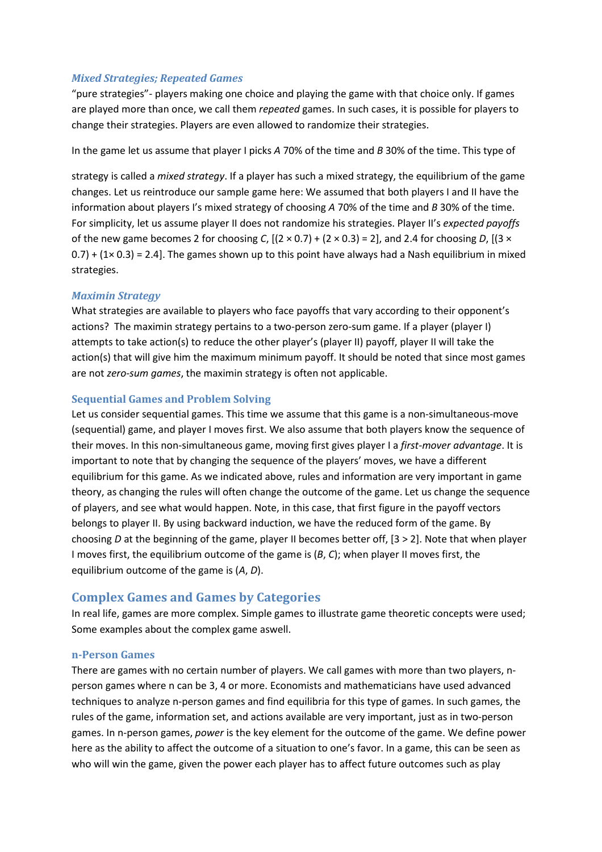## Mixed Strategies; Repeated Games

"pure strategies"- players making one choice and playing the game with that choice only. If games are played more than once, we call them repeated games. In such cases, it is possible for players to change their strategies. Players are even allowed to randomize their strategies.

In the game let us assume that player I picks A 70% of the time and B 30% of the time. This type of

strategy is called a *mixed strategy*. If a player has such a mixed strategy, the equilibrium of the game changes. Let us reintroduce our sample game here: We assumed that both players I and II have the information about players I's mixed strategy of choosing A 70% of the time and B 30% of the time. For simplicity, let us assume player II does not randomize his strategies. Player II's expected payoffs of the new game becomes 2 for choosing C,  $[(2 \times 0.7) + (2 \times 0.3) = 2]$ , and 2.4 for choosing D,  $[(3 \times$  $(0.7) + (1 \times 0.3) = 2.4$ ]. The games shown up to this point have always had a Nash equilibrium in mixed strategies.

## Maximin Strategy

What strategies are available to players who face payoffs that vary according to their opponent's actions? The maximin strategy pertains to a two-person zero-sum game. If a player (player I) attempts to take action(s) to reduce the other player's (player II) payoff, player II will take the action(s) that will give him the maximum minimum payoff. It should be noted that since most games are not zero-sum games, the maximin strategy is often not applicable.

## Sequential Games and Problem Solving

Let us consider sequential games. This time we assume that this game is a non-simultaneous-move (sequential) game, and player I moves first. We also assume that both players know the sequence of their moves. In this non-simultaneous game, moving first gives player I a *first-mover advantage*. It is important to note that by changing the sequence of the players' moves, we have a different equilibrium for this game. As we indicated above, rules and information are very important in game theory, as changing the rules will often change the outcome of the game. Let us change the sequence of players, and see what would happen. Note, in this case, that first figure in the payoff vectors belongs to player II. By using backward induction, we have the reduced form of the game. By choosing D at the beginning of the game, player II becomes better off, [3 > 2]. Note that when player I moves first, the equilibrium outcome of the game is  $(B, C)$ ; when player II moves first, the equilibrium outcome of the game is (A, D).

# Complex Games and Games by Categories

In real life, games are more complex. Simple games to illustrate game theoretic concepts were used; Some examples about the complex game aswell.

#### n-Person Games

There are games with no certain number of players. We call games with more than two players, nperson games where n can be 3, 4 or more. Economists and mathematicians have used advanced techniques to analyze n-person games and find equilibria for this type of games. In such games, the rules of the game, information set, and actions available are very important, just as in two-person games. In n-person games, power is the key element for the outcome of the game. We define power here as the ability to affect the outcome of a situation to one's favor. In a game, this can be seen as who will win the game, given the power each player has to affect future outcomes such as play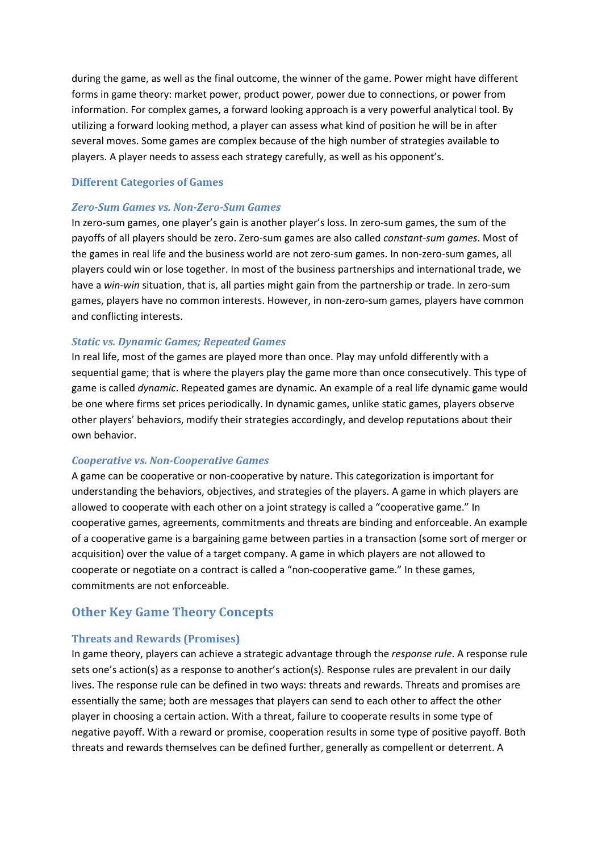during the game, as well as the final outcome, the winner of the game. Power might have different forms in game theory: market power, product power, power due to connections, or power from information. For complex games, a forward looking approach is a very powerful analytical tool. By utilizing a forward looking method, a player can assess what kind of position he will be in after several moves. Some games are complex because of the high number of strategies available to players. A player needs to assess each strategy carefully, as well as his opponent's.

## Different Categories of Games

#### Zero-Sum Games vs. Non-Zero-Sum Games

In zero-sum games, one player's gain is another player's loss. In zero-sum games, the sum of the payoffs of all players should be zero. Zero-sum games are also called constant-sum games. Most of the games in real life and the business world are not zero-sum games. In non-zero-sum games, all players could win or lose together. In most of the business partnerships and international trade, we have a win-win situation, that is, all parties might gain from the partnership or trade. In zero-sum games, players have no common interests. However, in non-zero-sum games, players have common and conflicting interests.

## Static vs. Dynamic Games; Repeated Games

In real life, most of the games are played more than once. Play may unfold differently with a sequential game; that is where the players play the game more than once consecutively. This type of game is called *dynamic*. Repeated games are dynamic. An example of a real life dynamic game would be one where firms set prices periodically. In dynamic games, unlike static games, players observe other players' behaviors, modify their strategies accordingly, and develop reputations about their own behavior.

#### Cooperative vs. Non-Cooperative Games

A game can be cooperative or non-cooperative by nature. This categorization is important for understanding the behaviors, objectives, and strategies of the players. A game in which players are allowed to cooperate with each other on a joint strategy is called a "cooperative game." In cooperative games, agreements, commitments and threats are binding and enforceable. An example of a cooperative game is a bargaining game between parties in a transaction (some sort of merger or acquisition) over the value of a target company. A game in which players are not allowed to cooperate or negotiate on a contract is called a "non-cooperative game." In these games, commitments are not enforceable.

# Other Key Game Theory Concepts

#### Threats and Rewards (Promises)

In game theory, players can achieve a strategic advantage through the *response rule*. A response rule sets one's action(s) as a response to another's action(s). Response rules are prevalent in our daily lives. The response rule can be defined in two ways: threats and rewards. Threats and promises are essentially the same; both are messages that players can send to each other to affect the other player in choosing a certain action. With a threat, failure to cooperate results in some type of negative payoff. With a reward or promise, cooperation results in some type of positive payoff. Both threats and rewards themselves can be defined further, generally as compellent or deterrent. A